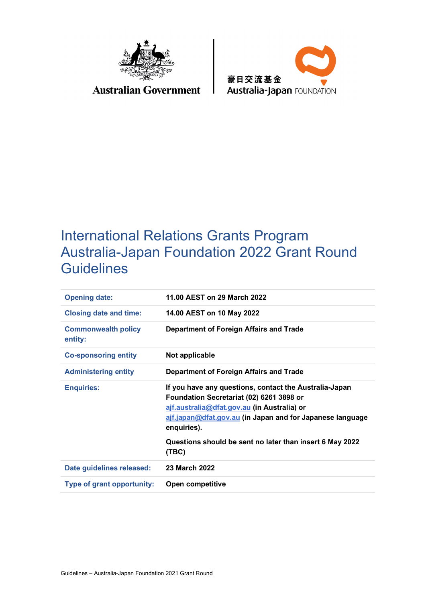

## **Australian Government**



# International Relations Grants Program Australia-Japan Foundation 2022 Grant Round **Guidelines**

| <b>Opening date:</b>                  | 11.00 AEST on 29 March 2022                                                                                                                                                                                                   |
|---------------------------------------|-------------------------------------------------------------------------------------------------------------------------------------------------------------------------------------------------------------------------------|
| <b>Closing date and time:</b>         | 14.00 AEST on 10 May 2022                                                                                                                                                                                                     |
| <b>Commonwealth policy</b><br>entity: | Department of Foreign Affairs and Trade                                                                                                                                                                                       |
| <b>Co-sponsoring entity</b>           | Not applicable                                                                                                                                                                                                                |
| <b>Administering entity</b>           | Department of Foreign Affairs and Trade                                                                                                                                                                                       |
| <b>Enquiries:</b>                     | If you have any questions, contact the Australia-Japan<br>Foundation Secretariat (02) 6261 3898 or<br>ajf.australia@dfat.gov.au (in Australia) or<br>ajf.japan@dfat.gov.au (in Japan and for Japanese language<br>enquiries). |
|                                       | Questions should be sent no later than insert 6 May 2022<br>(TBC)                                                                                                                                                             |
| Date guidelines released:             | 23 March 2022                                                                                                                                                                                                                 |
| Type of grant opportunity:            | <b>Open competitive</b>                                                                                                                                                                                                       |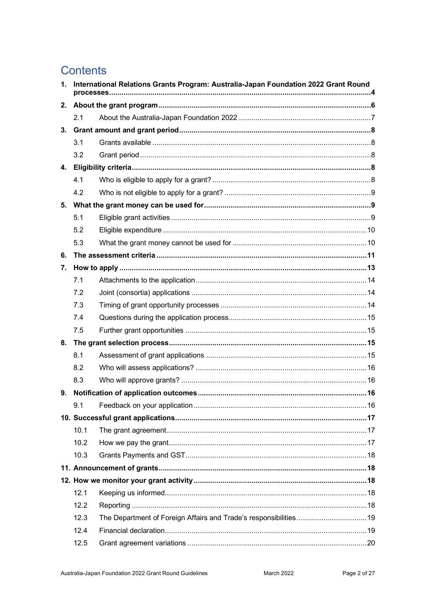## **Contents**

| 1. | International Relations Grants Program: Australia-Japan Foundation 2022 Grant Round |  |  |
|----|-------------------------------------------------------------------------------------|--|--|
| 2. |                                                                                     |  |  |
|    | 2.1                                                                                 |  |  |
| 3. |                                                                                     |  |  |
|    | 3.1                                                                                 |  |  |
|    | 3.2                                                                                 |  |  |
| 4. |                                                                                     |  |  |
|    | 4.1                                                                                 |  |  |
|    | 4.2                                                                                 |  |  |
|    |                                                                                     |  |  |
|    | 5.1                                                                                 |  |  |
|    | 5.2                                                                                 |  |  |
|    | 5.3                                                                                 |  |  |
| 6. |                                                                                     |  |  |
| 7. |                                                                                     |  |  |
|    | 7.1                                                                                 |  |  |
|    | 7.2                                                                                 |  |  |
|    | 7.3                                                                                 |  |  |
|    | 7.4                                                                                 |  |  |
|    | 7.5                                                                                 |  |  |
| 8. |                                                                                     |  |  |
|    | 8.1                                                                                 |  |  |
|    | 8.2                                                                                 |  |  |
|    | 8.3                                                                                 |  |  |
| 9. |                                                                                     |  |  |
|    | 9.1                                                                                 |  |  |
|    |                                                                                     |  |  |
|    | 10.1                                                                                |  |  |
|    | 10.2                                                                                |  |  |
|    | 10.3                                                                                |  |  |
|    |                                                                                     |  |  |
|    |                                                                                     |  |  |
|    | 12.1                                                                                |  |  |
|    | 12.2                                                                                |  |  |
|    | 12.3                                                                                |  |  |
|    | 12.4                                                                                |  |  |
|    | 12.5                                                                                |  |  |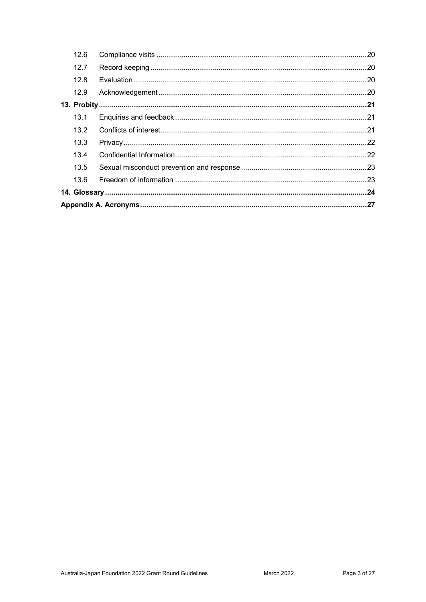|  | 12.6 |  |  |
|--|------|--|--|
|  | 12.7 |  |  |
|  | 12.8 |  |  |
|  | 12.9 |  |  |
|  |      |  |  |
|  | 13.1 |  |  |
|  | 13.2 |  |  |
|  | 13.3 |  |  |
|  | 13.4 |  |  |
|  | 13.5 |  |  |
|  | 13.6 |  |  |
|  |      |  |  |
|  |      |  |  |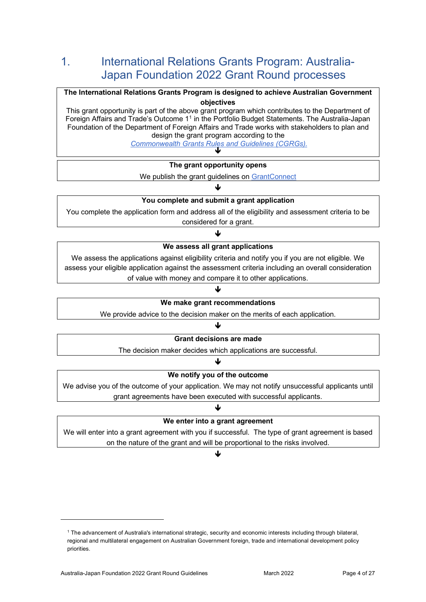## 1. International Relations Grants Program: Australia-Japan Foundation 2022 Grant Round processes

#### **The International Relations Grants Program is designed to achieve Australian Government objectives**  This grant opportunity is part of the above grant program which contributes to the Department of

Foreign Affairs and Trade's Outcome [11](#page-3-0) in the Portfolio Budget Statements. The Australia-Japan Foundation of the Department of Foreign Affairs and Trade works with stakeholders to plan and design the grant program according to the

*[Commonwealth Grants Rules and Guidelines \(CGRGs\).](https://www.finance.gov.au/government/commonwealth-grants/commonwealth-grants-rules-and-guidelines)* 

| The grant opportunity opens                     |  |  |
|-------------------------------------------------|--|--|
| We publish the grant guidelines on GrantConnect |  |  |

### $\downarrow$ **You complete and submit a grant application**

You complete the application form and address all of the eligibility and assessment criteria to be considered for a grant.

#### ብ

#### **We assess all grant applications**

We assess the applications against eligibility criteria and notify you if you are not eligible. We assess your eligible application against the assessment criteria including an overall consideration of value with money and compare it to other applications.

#### **We make grant recommendations**

J

We provide advice to the decision maker on the merits of each application.

 $\downarrow$ 

#### **Grant decisions are made**

The decision maker decides which applications are successful.

## $\downarrow$

#### **We notify you of the outcome**

We advise you of the outcome of your application. We may not notify unsuccessful applicants until grant agreements have been executed with successful applicants.

#### ↓

#### **We enter into a grant agreement**

We will enter into a grant agreement with you if successful. The type of grant agreement is based on the nature of the grant and will be proportional to the risks involved.

#### $\downarrow$

<span id="page-3-0"></span><sup>1</sup> The advancement of Australia's international strategic, security and economic interests including through bilateral, regional and multilateral engagement on Australian Government foreign, trade and international development policy priorities.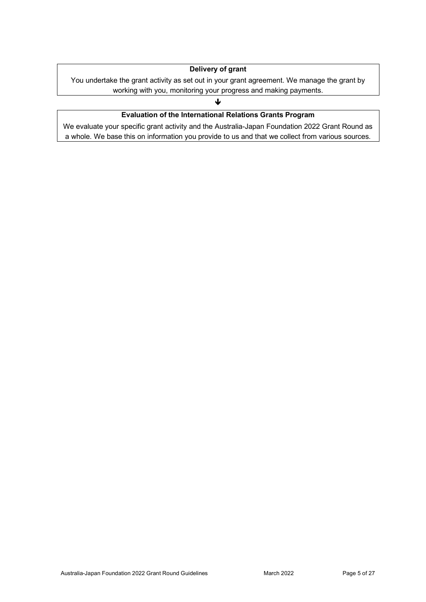#### **Delivery of grant**

You undertake the grant activity as set out in your grant agreement. We manage the grant by working with you, monitoring your progress and making payments.

#### ↓

### **Evaluation of the International Relations Grants Program**

We evaluate your specific grant activity and the Australia-Japan Foundation 2022 Grant Round as a whole. We base this on information you provide to us and that we collect from various sources.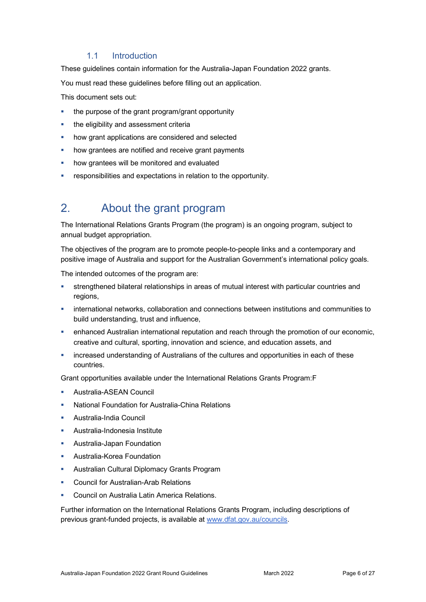#### 1.1 Introduction

These guidelines contain information for the Australia-Japan Foundation 2022 grants.

You must read these guidelines before filling out an application.

This document sets out:

- the purpose of the grant program/grant opportunity
- the eligibility and assessment criteria
- how grant applications are considered and selected
- how grantees are notified and receive grant payments
- how grantees will be monitored and evaluated
- responsibilities and expectations in relation to the opportunity.

## 2. About the grant program

The International Relations Grants Program (the program) is an ongoing program, subject to annual budget appropriation.

The objectives of the program are to promote people-to-people links and a contemporary and positive image of Australia and support for the Australian Government's international policy goals.

The intended outcomes of the program are:

- strengthened bilateral relationships in areas of mutual interest with particular countries and regions,
- international networks, collaboration and connections between institutions and communities to build understanding, trust and influence,
- enhanced Australian international reputation and reach through the promotion of our economic, creative and cultural, sporting, innovation and science, and education assets, and
- increased understanding of Australians of the cultures and opportunities in each of these countries.

Grant opportunities available under the International Relations Grants Program:F

- Australia-ASEAN Council
- National Foundation for Australia-China Relations
- Australia-India Council
- Australia-Indonesia Institute
- Australia-Japan Foundation
- Australia-Korea Foundation
- **Australian Cultural Diplomacy Grants Program**
- Council for Australian-Arab Relations
- Council on Australia Latin America Relations.

Further information on the International Relations Grants Program, including descriptions of previous grant-funded projects, is available at [www.dfat.gov.au/councils.](http://www.dfat.gov.au/councils)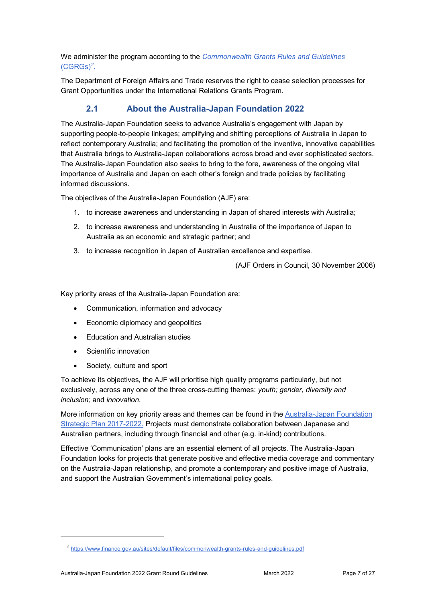We administer the program according to the *[Commonwealth Grants Rules and Guidelines](https://www.finance.gov.au/government/commonwealth-grants/commonwealth-grants-rules-and-guidelines)* [\(CGRGs\)](https://www.finance.gov.au/government/commonwealth-grants/commonwealth-grants-rules-and-guidelines)*[2.](#page-6-0)*

The Department of Foreign Affairs and Trade reserves the right to cease selection processes for Grant Opportunities under the International Relations Grants Program.

## **2.1 About the Australia-Japan Foundation 2022**

The Australia-Japan Foundation seeks to advance Australia's engagement with Japan by supporting people-to-people linkages; amplifying and shifting perceptions of Australia in Japan to reflect contemporary Australia; and facilitating the promotion of the inventive, innovative capabilities that Australia brings to Australia-Japan collaborations across broad and ever sophisticated sectors. The Australia-Japan Foundation also seeks to bring to the fore, awareness of the ongoing vital importance of Australia and Japan on each other's foreign and trade policies by facilitating informed discussions.

The objectives of the Australia-Japan Foundation (AJF) are:

- 1. to increase awareness and understanding in Japan of shared interests with Australia;
- 2. to increase awareness and understanding in Australia of the importance of Japan to Australia as an economic and strategic partner; and
- 3. to increase recognition in Japan of Australian excellence and expertise.

(AJF Orders in Council, 30 November 2006)

Key priority areas of the Australia-Japan Foundation are:

- Communication, information and advocacy
- Economic diplomacy and geopolitics
- Education and Australian studies
- Scientific innovation
- Society, culture and sport

To achieve its objectives, the AJF will prioritise high quality programs particularly, but not exclusively, across any one of the three cross-cutting themes: *youth; gender, diversity and inclusion;* and *innovation*.

More information on key priority areas and themes can be found in the [Australia-Japan Foundation](https://www.dfat.gov.au/people-to-people/foundations-councils-institutes/australia-japan-foundation/governance/ajf-strategic-plan-2017-2022)  [Strategic Plan 2017-2022.](https://www.dfat.gov.au/people-to-people/foundations-councils-institutes/australia-japan-foundation/governance/ajf-strategic-plan-2017-2022) Projects must demonstrate collaboration between Japanese and Australian partners, including through financial and other (e.g. in-kind) contributions.

Effective 'Communication' plans are an essential element of all projects. The Australia-Japan Foundation looks for projects that generate positive and effective media coverage and commentary on the Australia-Japan relationship, and promote a contemporary and positive image of Australia, and support the Australian Government's international policy goals.

<span id="page-6-0"></span><sup>2</sup> <https://www.finance.gov.au/sites/default/files/commonwealth-grants-rules-and-guidelines.pdf>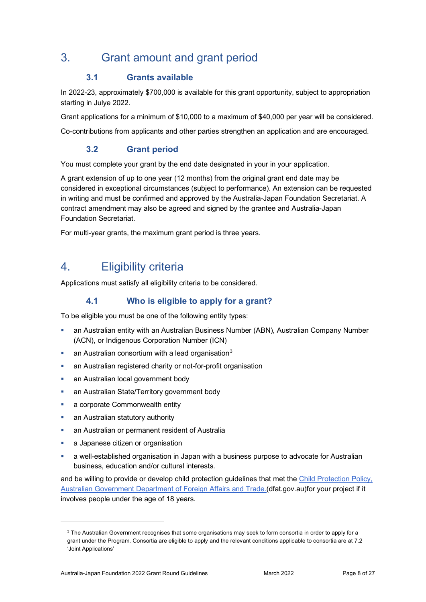## 3. Grant amount and grant period

## **3.1 Grants available**

In 2022-23, approximately \$700,000 is available for this grant opportunity, subject to appropriation starting in Julye 2022.

Grant applications for a minimum of \$10,000 to a maximum of \$40,000 per year will be considered.

Co-contributions from applicants and other parties strengthen an application and are encouraged.

### **3.2 Grant period**

You must complete your grant by the end date designated in your in your application.

A grant extension of up to one year (12 months) from the original grant end date may be considered in exceptional circumstances (subject to performance). An extension can be requested in writing and must be confirmed and approved by the Australia-Japan Foundation Secretariat. A contract amendment may also be agreed and signed by the grantee and Australia-Japan Foundation Secretariat.

For multi-year grants, the maximum grant period is three years.

## 4. Eligibility criteria

Applications must satisfy all eligibility criteria to be considered.

## **4.1 Who is eligible to apply for a grant?**

To be eligible you must be one of the following entity types:

- an Australian entity with an Australian Business Number (ABN), Australian Company Number (ACN), or Indigenous Corporation Number (ICN)
- an Australian consortium with a lead organisation<sup>[3](#page-7-0)</sup>
- an Australian registered charity or not-for-profit organisation
- an Australian local government body
- an Australian State/Territory government body
- **a** corporate Commonwealth entity
- an Australian statutory authority
- an Australian or permanent resident of Australia
- a Japanese citizen or organisation
- a well-established organisation in Japan with a business purpose to advocate for Australian business, education and/or cultural interests.

and be willing to provide or develop child protection guidelines that met the [Child Protection Policy,](https://www.dfat.gov.au/international-relations/themes/child-protection/Pages/child-protection)  [Australian Government Department of Foreign Affairs and Trade.\(](https://www.dfat.gov.au/international-relations/themes/child-protection/Pages/child-protection)dfat.gov.au)for your project if it involves people under the age of 18 years.

<span id="page-7-0"></span><sup>&</sup>lt;sup>3</sup> The Australian Government recognises that some organisations may seek to form consortia in order to apply for a grant under the Program. Consortia are eligible to apply and the relevant conditions applicable to consortia are at 7.2 'Joint Applications'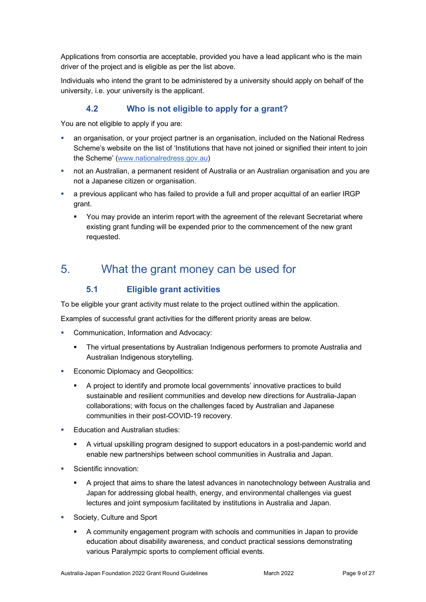Applications from consortia are acceptable, provided you have a lead applicant who is the main driver of the project and is eligible as per the list above.

Individuals who intend the grant to be administered by a university should apply on behalf of the university, i.e. your university is the applicant.

### **4.2 Who is not eligible to apply for a grant?**

You are not eligible to apply if you are:

- an organisation, or your project partner is an organisation, included on the National Redress Scheme's website on the list of 'Institutions that have not joined or signified their intent to join the Scheme' [\(www.nationalredress.gov.au\)](http://www.nationalredress.gov.au/)
- not an Australian, a permanent resident of Australia or an Australian organisation and you are not a Japanese citizen or organisation.
- a previous applicant who has failed to provide a full and proper acquittal of an earlier IRGP grant.
	- You may provide an interim report with the agreement of the relevant Secretariat where existing grant funding will be expended prior to the commencement of the new grant requested.

## 5. What the grant money can be used for

### **5.1 Eligible grant activities**

To be eligible your grant activity must relate to the project outlined within the application.

Examples of successful grant activities for the different priority areas are below.

- Communication, Information and Advocacy:
	- The virtual presentations by Australian Indigenous performers to promote Australia and Australian Indigenous storytelling.
- Economic Diplomacy and Geopolitics:
	- A project to identify and promote local governments' innovative practices to build sustainable and resilient communities and develop new directions for Australia-Japan collaborations; with focus on the challenges faced by Australian and Japanese communities in their post-COVID-19 recovery.
- **Education and Australian studies:** 
	- A virtual upskilling program designed to support educators in a post-pandemic world and enable new partnerships between school communities in Australia and Japan.
- Scientific innovation:
	- A project that aims to share the latest advances in nanotechnology between Australia and Japan for addressing global health, energy, and environmental challenges via guest lectures and joint symposium facilitated by institutions in Australia and Japan.
- Society, Culture and Sport
	- A community engagement program with schools and communities in Japan to provide education about disability awareness, and conduct practical sessions demonstrating various Paralympic sports to complement official events.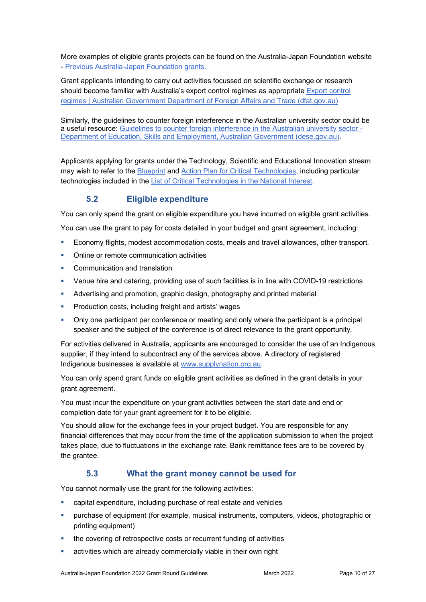More examples of eligible grants projects can be found on the Australia-Japan Foundation website - [Previous Australia-Japan Foundation grants.](https://www.dfat.gov.au/people-to-people/foundations-councils-institutes/australia-japan-foundation/grants/Pages/previous-grants)

Grant applicants intending to carry out activities focussed on scientific exchange or research should become familiar with Australia's export control regimes as appropriate [Export control](https://www.dfat.gov.au/international-relations/security/non-proliferation-disarmament-arms-control/export-control-regimes/Pages/export-control-regimes)  [regimes | Australian Government Department of Foreign Affairs and Trade \(dfat.gov.au\)](https://www.dfat.gov.au/international-relations/security/non-proliferation-disarmament-arms-control/export-control-regimes/Pages/export-control-regimes) 

Similarly, the guidelines to counter foreign interference in the Australian university sector could be a useful resource: [Guidelines to counter foreign interference in the Australian university sector -](https://aus01.safelinks.protection.outlook.com/?url=https%3A%2F%2Fwww.dese.gov.au%2Fguidelines-counter-foreign-interference-australian-university-sector&data=04%7C01%7CAlexandra.O%27Connor%40dfat.gov.au%7Caade20018b264d073b3e08d9fd548fb0%7C9b7f23b30e8347a58a40ffa8a6fea536%7C0%7C0%7C637819362195016727%7CUnknown%7CTWFpbGZsb3d8eyJWIjoiMC4wLjAwMDAiLCJQIjoiV2luMzIiLCJBTiI6Ik1haWwiLCJXVCI6Mn0%3D%7C3000&sdata=UKrOrWYb5MrCe%2BZvSi63Xp%2FbQulmRUvaFT4lnwmG%2FyU%3D&reserved=0)  [Department of Education, Skills and Employment, Australian Government \(dese.gov.au\).](https://aus01.safelinks.protection.outlook.com/?url=https%3A%2F%2Fwww.dese.gov.au%2Fguidelines-counter-foreign-interference-australian-university-sector&data=04%7C01%7CAlexandra.O%27Connor%40dfat.gov.au%7Caade20018b264d073b3e08d9fd548fb0%7C9b7f23b30e8347a58a40ffa8a6fea536%7C0%7C0%7C637819362195016727%7CUnknown%7CTWFpbGZsb3d8eyJWIjoiMC4wLjAwMDAiLCJQIjoiV2luMzIiLCJBTiI6Ik1haWwiLCJXVCI6Mn0%3D%7C3000&sdata=UKrOrWYb5MrCe%2BZvSi63Xp%2FbQulmRUvaFT4lnwmG%2FyU%3D&reserved=0)

Applicants applying for grants under the Technology, Scientific and Educational Innovation stream may wish to refer to the [Blueprint](https://www.pmc.gov.au/resource-centre/domestic-policy/blueprint-critical-technologies) and [Action Plan for Critical Technologies,](https://www.pmc.gov.au/resource-centre/domestic-policy/action-plan-critical-technologies) including particular technologies included in the [List of Critical Technologies in the National Interest.](https://www.pmc.gov.au/resource-centre/domestic-policy/list-critical-technologies-national-interest) 

## **5.2 Eligible expenditure**

You can only spend the grant on eligible expenditure you have incurred on eligible grant activities.

You can use the grant to pay for costs detailed in your budget and grant agreement, including:

- Economy flights, modest accommodation costs, meals and travel allowances, other transport.
- Online or remote communication activities
- **Communication and translation**
- Venue hire and catering, providing use of such facilities is in line with COVID-19 restrictions
- Advertising and promotion, graphic design, photography and printed material
- Production costs, including freight and artists' wages
- Only one participant per conference or meeting and only where the participant is a principal speaker and the subject of the conference is of direct relevance to the grant opportunity.

For activities delivered in Australia, applicants are encouraged to consider the use of an Indigenous supplier, if they intend to subcontract any of the services above. A directory of registered Indigenous businesses is available at [www.supplynation.org.au.](http://www.supplynation.org.au/)

You can only spend grant funds on eligible grant activities as defined in the grant details in your grant agreement.

You must incur the expenditure on your grant activities between the start date and end or completion date for your grant agreement for it to be eligible.

You should allow for the exchange fees in your project budget. You are responsible for any financial differences that may occur from the time of the application submission to when the project takes place, due to fluctuations in the exchange rate. Bank remittance fees are to be covered by the grantee.

### **5.3 What the grant money cannot be used for**

You cannot normally use the grant for the following activities:

- capital expenditure, including purchase of real estate and vehicles
- purchase of equipment (for example, musical instruments, computers, videos, photographic or printing equipment)
- the covering of retrospective costs or recurrent funding of activities
- activities which are already commercially viable in their own right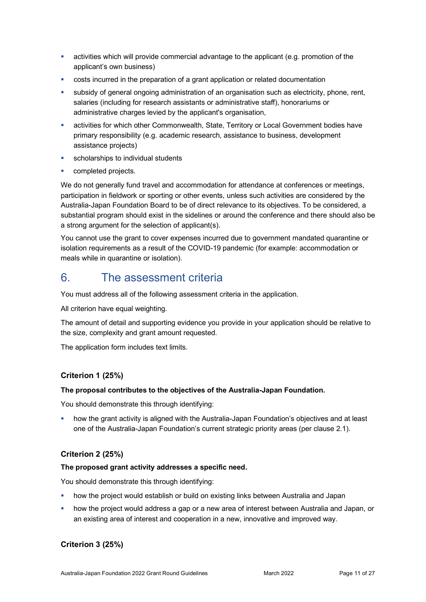- activities which will provide commercial advantage to the applicant (e.g. promotion of the applicant's own business)
- costs incurred in the preparation of a grant application or related documentation
- subsidy of general ongoing administration of an organisation such as electricity, phone, rent, salaries (including for research assistants or administrative staff), honorariums or administrative charges levied by the applicant's organisation,
- activities for which other Commonwealth, State, Territory or Local Government bodies have primary responsibility (e.g. academic research, assistance to business, development assistance projects)
- scholarships to individual students
- completed projects.

We do not generally fund travel and accommodation for attendance at conferences or meetings, participation in fieldwork or sporting or other events, unless such activities are considered by the Australia-Japan Foundation Board to be of direct relevance to its objectives. To be considered, a substantial program should exist in the sidelines or around the conference and there should also be a strong argument for the selection of applicant(s).

You cannot use the grant to cover expenses incurred due to government mandated quarantine or isolation requirements as a result of the COVID-19 pandemic (for example: accommodation or meals while in quarantine or isolation).

## 6. The assessment criteria

You must address all of the following assessment criteria in the application.

All criterion have equal weighting.

The amount of detail and supporting evidence you provide in your application should be relative to the size, complexity and grant amount requested.

The application form includes text limits.

### **Criterion 1 (25%)**

#### **The proposal contributes to the objectives of the Australia-Japan Foundation.**

You should demonstrate this through identifying:

 how the grant activity is aligned with the Australia-Japan Foundation's objectives and at least one of the Australia-Japan Foundation's current strategic priority areas (per clause 2.1).

### **Criterion 2 (25%)**

#### **The proposed grant activity addresses a specific need.**

You should demonstrate this through identifying:

- how the project would establish or build on existing links between Australia and Japan
- how the project would address a gap or a new area of interest between Australia and Japan, or an existing area of interest and cooperation in a new, innovative and improved way.

### **Criterion 3 (25%)**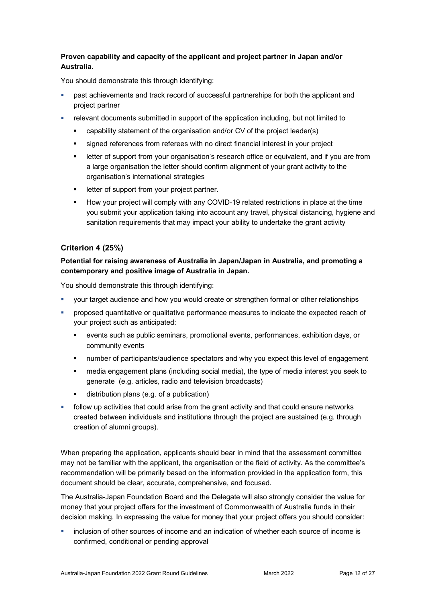#### **Proven capability and capacity of the applicant and project partner in Japan and/or Australia.**

You should demonstrate this through identifying:

- **•** past achievements and track record of successful partnerships for both the applicant and project partner
- relevant documents submitted in support of the application including, but not limited to
	- capability statement of the organisation and/or CV of the project leader(s)
	- signed references from referees with no direct financial interest in your project
	- letter of support from your organisation's research office or equivalent, and if you are from a large organisation the letter should confirm alignment of your grant activity to the organisation's international strategies
	- **EXECUTE:** letter of support from your project partner.
	- How your project will comply with any COVID-19 related restrictions in place at the time you submit your application taking into account any travel, physical distancing, hygiene and sanitation requirements that may impact your ability to undertake the grant activity

#### **Criterion 4 (25%)**

#### **Potential for raising awareness of Australia in Japan/Japan in Australia, and promoting a contemporary and positive image of Australia in Japan.**

You should demonstrate this through identifying:

- your target audience and how you would create or strengthen formal or other relationships
- proposed quantitative or qualitative performance measures to indicate the expected reach of your project such as anticipated:
	- events such as public seminars, promotional events, performances, exhibition days, or community events
	- number of participants/audience spectators and why you expect this level of engagement
	- media engagement plans (including social media), the type of media interest you seek to generate (e.g. articles, radio and television broadcasts)
	- distribution plans (e.g. of a publication)
- follow up activities that could arise from the grant activity and that could ensure networks created between individuals and institutions through the project are sustained (e.g. through creation of alumni groups).

When preparing the application, applicants should bear in mind that the assessment committee may not be familiar with the applicant, the organisation or the field of activity. As the committee's recommendation will be primarily based on the information provided in the application form, this document should be clear, accurate, comprehensive, and focused.

The Australia-Japan Foundation Board and the Delegate will also strongly consider the value for money that your project offers for the investment of Commonwealth of Australia funds in their decision making. In expressing the value for money that your project offers you should consider:

 inclusion of other sources of income and an indication of whether each source of income is confirmed, conditional or pending approval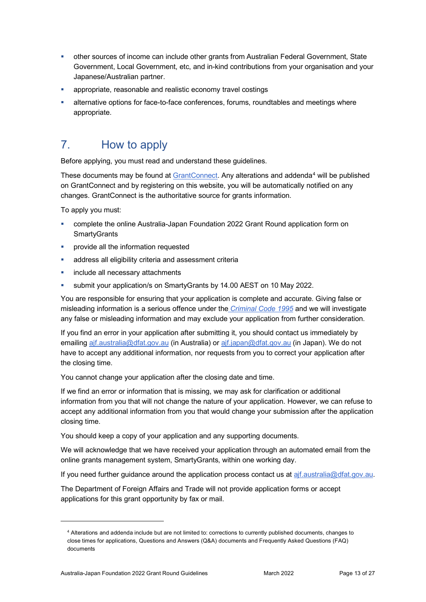- other sources of income can include other grants from Australian Federal Government, State Government, Local Government, etc, and in-kind contributions from your organisation and your Japanese/Australian partner.
- **•** appropriate, reasonable and realistic economy travel costings
- alternative options for face-to-face conferences, forums, roundtables and meetings where appropriate.

## 7. How to apply

Before applying, you must read and understand these guidelines.

These documents may be found at [GrantConnect.](http://www.grants.gov.au/) Any alterations and addenda<sup>[4](#page-12-0)</sup> will be published on GrantConnect and by registering on this website, you will be automatically notified on any changes. GrantConnect is the authoritative source for grants information.

To apply you must:

- complete the online Australia-Japan Foundation 2022 Grant Round application form on **SmartyGrants**
- provide all the information requested
- **address all eligibility criteria and assessment criteria**
- **i** include all necessary attachments
- submit your application/s on SmartyGrants by 14.00 AEST on 10 May 2022.

You are responsible for ensuring that your application is complete and accurate. Giving false or misleading information is a serious offence under the *[Criminal Code 1995](http://www8.austlii.edu.au/cgi-bin/viewdoc/au/legis/cth/consol_act/cca1995115/sch1.html)* and we will investigate any false or misleading information and may exclude your application from further consideration.

If you find an error in your application after submitting it, you should contact us immediately by emailing [ajf.australia@dfat.gov.au](mailto:ajf.australia@dfat.gov.au) (in Australia) or [ajf.japan@dfat.gov.au](mailto:ajf.japan@dfat.gov.au) (in Japan). We do not have to accept any additional information, nor requests from you to correct your application after the closing time.

You cannot change your application after the closing date and time.

If we find an error or information that is missing, we may ask for clarification or additional information from you that will not change the nature of your application. However, we can refuse to accept any additional information from you that would change your submission after the application closing time.

You should keep a copy of your application and any supporting documents.

We will acknowledge that we have received your application through an automated email from the online grants management system, SmartyGrants, within one working day.

If you need further guidance around the application process contact us at [ajf.australia@dfat.gov.au.](mailto:ajf.australia@dfat.gov.au)

The Department of Foreign Affairs and Trade will not provide application forms or accept applications for this grant opportunity by fax or mail.

<span id="page-12-0"></span><sup>4</sup> Alterations and addenda include but are not limited to: corrections to currently published documents, changes to close times for applications, Questions and Answers (Q&A) documents and Frequently Asked Questions (FAQ) documents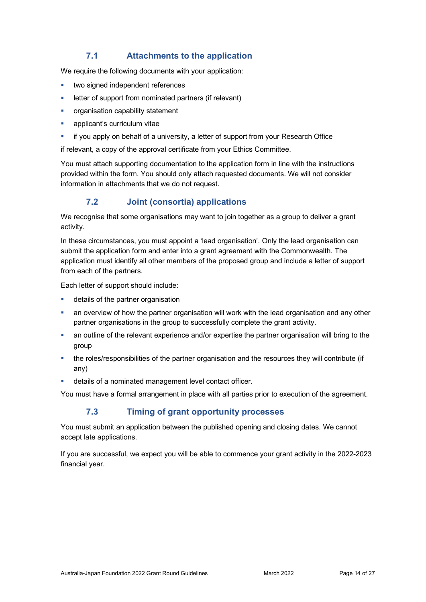### **7.1 Attachments to the application**

We require the following documents with your application:

- two signed independent references
- letter of support from nominated partners (if relevant)
- organisation capability statement
- **applicant's curriculum vitae**
- if you apply on behalf of a university, a letter of support from your Research Office

if relevant, a copy of the approval certificate from your Ethics Committee.

You must attach supporting documentation to the application form in line with the instructions provided within the form. You should only attach requested documents. We will not consider information in attachments that we do not request.

### **7.2 Joint (consortia) applications**

We recognise that some organisations may want to join together as a group to deliver a grant activity.

In these circumstances, you must appoint a 'lead organisation'. Only the lead organisation can submit the application form and enter into a grant agreement with the Commonwealth. The application must identify all other members of the proposed group and include a letter of support from each of the partners.

Each letter of support should include:

- details of the partner organisation
- an overview of how the partner organisation will work with the lead organisation and any other partner organisations in the group to successfully complete the grant activity.
- an outline of the relevant experience and/or expertise the partner organisation will bring to the group
- the roles/responsibilities of the partner organisation and the resources they will contribute (if any)
- details of a nominated management level contact officer.

You must have a formal arrangement in place with all parties prior to execution of the agreement.

### **7.3 Timing of grant opportunity processes**

You must submit an application between the published opening and closing dates. We cannot accept late applications.

If you are successful, we expect you will be able to commence your grant activity in the 2022-2023 financial year.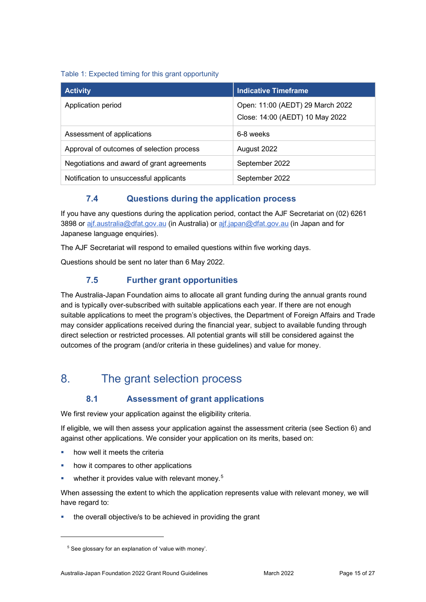#### Table 1: Expected timing for this grant opportunity

| <b>Activity</b>                            | <b>Indicative Timeframe</b>                                         |
|--------------------------------------------|---------------------------------------------------------------------|
| Application period                         | Open: 11:00 (AEDT) 29 March 2022<br>Close: 14:00 (AEDT) 10 May 2022 |
| Assessment of applications                 | 6-8 weeks                                                           |
| Approval of outcomes of selection process  | August 2022                                                         |
| Negotiations and award of grant agreements | September 2022                                                      |
| Notification to unsuccessful applicants    | September 2022                                                      |

### **7.4 Questions during the application process**

If you have any questions during the application period, contact the AJF Secretariat on (02) 6261 3898 or [ajf.australia@dfat.gov.au](mailto:ajf.australia@dfat.gov.au) (in Australia) or [ajf.japan@dfat.gov.au](mailto:ajf.japan@dfat.gov.au) (in Japan and for Japanese language enquiries).

The AJF Secretariat will respond to emailed questions within five working days.

Questions should be sent no later than 6 May 2022.

### **7.5 Further grant opportunities**

The Australia-Japan Foundation aims to allocate all grant funding during the annual grants round and is typically over-subscribed with suitable applications each year. If there are not enough suitable applications to meet the program's objectives, the Department of Foreign Affairs and Trade may consider applications received during the financial year, subject to available funding through direct selection or restricted processes. All potential grants will still be considered against the outcomes of the program (and/or criteria in these guidelines) and value for money.

## 8. The grant selection process

## **8.1 Assessment of grant applications**

We first review your application against the eligibility criteria.

If eligible, we will then assess your application against the assessment criteria (see Section 6) and against other applications. We consider your application on its merits, based on:

- how well it meets the criteria
- how it compares to other applications
- whether it provides value with relevant money.<sup>[5](#page-14-0)</sup>

When assessing the extent to which the application represents value with relevant money, we will have regard to:

the overall objective/s to be achieved in providing the grant

<span id="page-14-0"></span><sup>&</sup>lt;sup>5</sup> See glossary for an explanation of 'value with money'.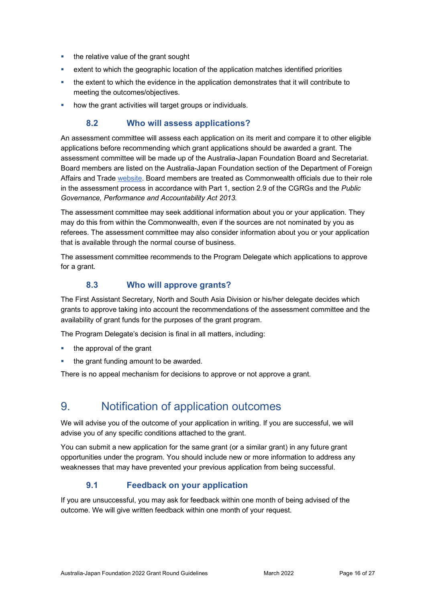- the relative value of the grant sought
- extent to which the geographic location of the application matches identified priorities
- the extent to which the evidence in the application demonstrates that it will contribute to meeting the outcomes/objectives.
- how the grant activities will target groups or individuals.

### **8.2 Who will assess applications?**

An assessment committee will assess each application on its merit and compare it to other eligible applications before recommending which grant applications should be awarded a grant. The assessment committee will be made up of the Australia-Japan Foundation Board and Secretariat. Board members are listed on the Australia-Japan Foundation section of the Department of Foreign Affairs and Trade [website.](https://dfat.gov.au/people-to-people/foundations-councils-institutes/australia-japan-foundation/Pages/australia-japan-foundation.aspx) Board members are treated as Commonwealth officials due to their role in the assessment process in accordance with Part 1, section 2.9 of the CGRGs and the *Public Governance, Performance and Accountability Act 2013*.

The assessment committee may seek additional information about you or your application. They may do this from within the Commonwealth, even if the sources are not nominated by you as referees. The assessment committee may also consider information about you or your application that is available through the normal course of business.

The assessment committee recommends to the Program Delegate which applications to approve for a grant.

### **8.3 Who will approve grants?**

The First Assistant Secretary, North and South Asia Division or his/her delegate decides which grants to approve taking into account the recommendations of the assessment committee and the availability of grant funds for the purposes of the grant program.

The Program Delegate's decision is final in all matters, including:

- the approval of the grant
- the grant funding amount to be awarded.

There is no appeal mechanism for decisions to approve or not approve a grant.

## 9. Notification of application outcomes

We will advise you of the outcome of your application in writing. If you are successful, we will advise you of any specific conditions attached to the grant.

You can submit a new application for the same grant (or a similar grant) in any future grant opportunities under the program. You should include new or more information to address any weaknesses that may have prevented your previous application from being successful.

## **9.1 Feedback on your application**

If you are unsuccessful, you may ask for feedback within one month of being advised of the outcome. We will give written feedback within one month of your request.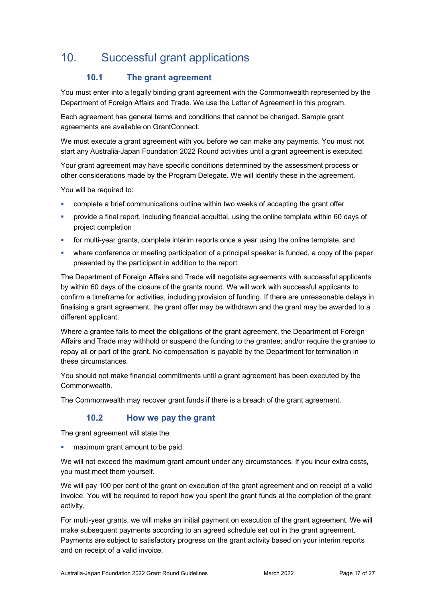## 10. Successful grant applications

## **10.1 The grant agreement**

You must enter into a legally binding grant agreement with the Commonwealth represented by the Department of Foreign Affairs and Trade. We use the Letter of Agreement in this program.

Each agreement has general terms and conditions that cannot be changed. Sample grant agreements are available on GrantConnect.

We must execute a grant agreement with you before we can make any payments. You must not start any Australia-Japan Foundation 2022 Round activities until a grant agreement is executed.

Your grant agreement may have specific conditions determined by the assessment process or other considerations made by the Program Delegate. We will identify these in the agreement.

You will be required to:

- complete a brief communications outline within two weeks of accepting the grant offer
- provide a final report, including financial acquittal, using the online template within 60 days of project completion
- for multi-year grants, complete interim reports once a year using the online template, and
- where conference or meeting participation of a principal speaker is funded, a copy of the paper presented by the participant in addition to the report.

The Department of Foreign Affairs and Trade will negotiate agreements with successful applicants by within 60 days of the closure of the grants round. We will work with successful applicants to confirm a timeframe for activities, including provision of funding. If there are unreasonable delays in finalising a grant agreement, the grant offer may be withdrawn and the grant may be awarded to a different applicant.

Where a grantee fails to meet the obligations of the grant agreement, the Department of Foreign Affairs and Trade may withhold or suspend the funding to the grantee; and/or require the grantee to repay all or part of the grant. No compensation is payable by the Department for termination in these circumstances.

You should not make financial commitments until a grant agreement has been executed by the Commonwealth.

The Commonwealth may recover grant funds if there is a breach of the grant agreement.

### **10.2 How we pay the grant**

The grant agreement will state the:

maximum grant amount to be paid.

We will not exceed the maximum grant amount under any circumstances. If you incur extra costs, you must meet them yourself.

We will pay 100 per cent of the grant on execution of the grant agreement and on receipt of a valid invoice. You will be required to report how you spent the grant funds at the completion of the grant activity.

For multi-year grants, we will make an initial payment on execution of the grant agreement. We will make subsequent payments according to an agreed schedule set out in the grant agreement. Payments are subject to satisfactory progress on the grant activity based on your interim reports and on receipt of a valid invoice.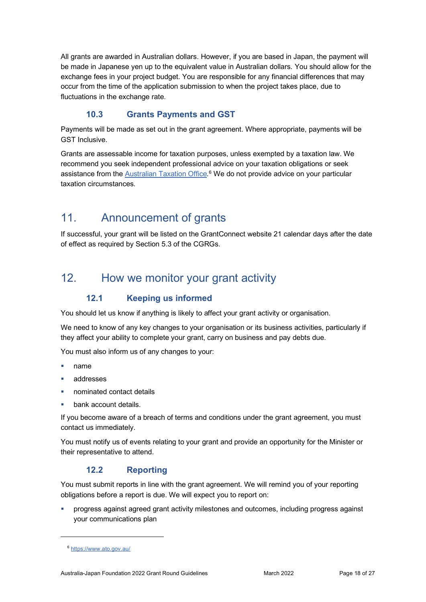All grants are awarded in Australian dollars. However, if you are based in Japan, the payment will be made in Japanese yen up to the equivalent value in Australian dollars. You should allow for the exchange fees in your project budget. You are responsible for any financial differences that may occur from the time of the application submission to when the project takes place, due to fluctuations in the exchange rate.

### **10.3 Grants Payments and GST**

Payments will be made as set out in the grant agreement. Where appropriate, payments will be GST Inclusive.

Grants are assessable income for taxation purposes, unless exempted by a taxation law. We recommend you seek independent professional advice on your taxation obligations or seek assistance from the <u>Australian Taxation Office.</u><sup>[6](#page-17-0)</sup> We do not provide advice on your particular taxation circumstances.

## 11. Announcement of grants

If successful, your grant will be listed on the GrantConnect website 21 calendar days after the date of effect as required by Section 5.3 of the [CGRGs.](https://www.finance.gov.au/government/commonwealth-grants/commonwealth-grants-rules-and-guidelines)

## 12. How we monitor your grant activity

### **12.1 Keeping us informed**

You should let us know if anything is likely to affect your grant activity or organisation.

We need to know of any key changes to your organisation or its business activities, particularly if they affect your ability to complete your grant, carry on business and pay debts due.

You must also inform us of any changes to your:

- name
- addresses
- nominated contact details
- bank account details.

If you become aware of a breach of terms and conditions under the grant agreement, you must contact us immediately.

You must notify us of events relating to your grant and provide an opportunity for the Minister or their representative to attend.

### **12.2 Reporting**

You must submit reports in line with the [grant agreement.](file://prod.protected.ind/User/user03/LLau2/insert%20link%20here) We will remind you of your reporting obligations before a report is due. We will expect you to report on:

 progress against agreed grant activity milestones and outcomes, including progress against your communications plan

<span id="page-17-0"></span><sup>6</sup> <https://www.ato.gov.au/>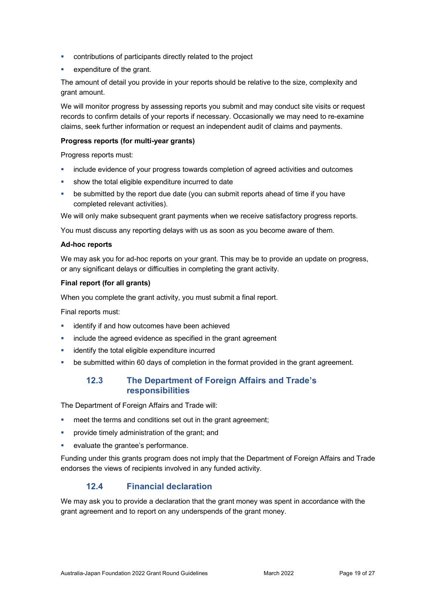- contributions of participants directly related to the project
- expenditure of the grant.

The amount of detail you provide in your reports should be relative to the size, complexity and grant amount.

We will monitor progress by assessing reports you submit and may conduct site visits or request records to confirm details of your reports if necessary. Occasionally we may need to re-examine claims, seek further information or request an independent audit of claims and payments.

#### **Progress reports (for multi-year grants)**

Progress reports must:

- include evidence of your progress towards completion of agreed activities and outcomes
- show the total eligible expenditure incurred to date
- be submitted by the report due date (you can submit reports ahead of time if you have completed relevant activities).

We will only make subsequent grant payments when we receive satisfactory progress reports.

You must discuss any reporting delays with us as soon as you become aware of them.

#### **Ad-hoc reports**

We may ask you for ad-hoc reports on your grant. This may be to provide an update on progress, or any significant delays or difficulties in completing the grant activity.

#### **Final report (for all grants)**

When you complete the grant activity, you must submit a final report.

Final reports must:

- identify if and how outcomes have been achieved
- include the agreed evidence as specified in the grant agreement
- identify the total eligible expenditure incurred
- **•** be submitted within 60 days of completion in the format provided in the grant agreement.

#### **12.3 The Department of Foreign Affairs and Trade's responsibilities**

The Department of Foreign Affairs and Trade will:

- meet the terms and conditions set out in the grant agreement;
- provide timely administration of the grant; and
- evaluate the grantee's performance.

Funding under this grants program does not imply that the Department of Foreign Affairs and Trade endorses the views of recipients involved in any funded activity.

#### **12.4 Financial declaration**

We may ask you to provide a declaration that the grant money was spent in accordance with the grant agreement and to report on any underspends of the grant money.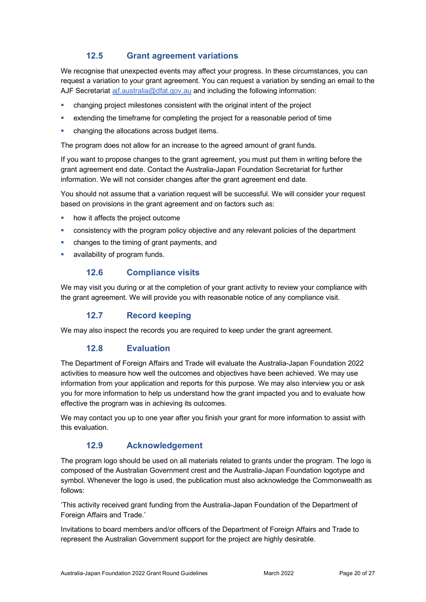### **12.5 Grant agreement variations**

We recognise that unexpected events may affect your progress. In these circumstances, you can request a variation to your grant agreement. You can request a variation by sending an email to the AJF Secretariat aif.australia@dfat.gov.au and including the following information:

- changing project milestones consistent with the original intent of the project
- extending the timeframe for completing the project for a reasonable period of time
- changing the allocations across budget items.

The program does not allow for an increase to the agreed amount of grant funds.

If you want to propose changes to the grant agreement, you must put them in writing before the grant agreement end date. Contact the Australia-Japan Foundation Secretariat for further information. We will not consider changes after the grant agreement end date.

You should not assume that a variation request will be successful. We will consider your request based on provisions in the grant agreement and on factors such as:

- how it affects the project outcome
- **EXEDENT** consistency with the program policy objective and any relevant policies of the department
- changes to the timing of grant payments, and
- availability of program funds.

#### **12.6 Compliance visits**

We may visit you during or at the completion of your grant activity to review your compliance with the grant agreement. We will provide you with reasonable notice of any compliance visit.

### **12.7 Record keeping**

We may also inspect the records you are required to keep under the grant agreement.

#### **12.8 Evaluation**

The Department of Foreign Affairs and Trade will evaluate the Australia-Japan Foundation 2022 activities to measure how well the outcomes and objectives have been achieved. We may use information from your application and reports for this purpose. We may also interview you or ask you for more information to help us understand how the grant impacted you and to evaluate how effective the program was in achieving its outcomes.

We may contact you up to one year after you finish your grant for more information to assist with this evaluation.

#### **12.9 Acknowledgement**

The program logo should be used on all materials related to grants under the program. The logo is composed of the Australian Government crest and the Australia-Japan Foundation logotype and symbol. Whenever the logo is used, the publication must also acknowledge the Commonwealth as follows:

'This activity received grant funding from the Australia-Japan Foundation of the Department of Foreign Affairs and Trade.'

Invitations to board members and/or officers of the Department of Foreign Affairs and Trade to represent the Australian Government support for the project are highly desirable.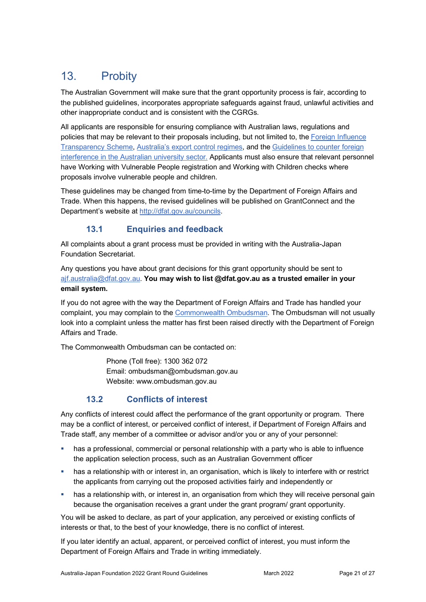# 13. Probity

The Australian Government will make sure that the grant opportunity process is fair, according to the published guidelines, incorporates appropriate safeguards against fraud, unlawful activities and other inappropriate conduct and is consistent with the CGRGs.

All applicants are responsible for ensuring compliance with Australian laws, regulations and policies that may be relevant to their proposals including, but not limited to, the Foreign Influence [Transparency Scheme,](https://www.ag.gov.au/integrity/foreign-influence-transparency-scheme) [Australia's export control regimes,](https://www.dfat.gov.au/international-relations/security/non-proliferation-disarmament-arms-control/export-control-regimes/Pages/export-control-regimes) and th[e Guidelines to counter foreign](https://www.dese.gov.au/guidelines-counter-foreign-interference-australian-university-sector)  [interference in the Australian university sector.](https://www.dese.gov.au/guidelines-counter-foreign-interference-australian-university-sector) Applicants must also ensure that relevant personnel have Working with Vulnerable People registration and Working with Children checks where proposals involve vulnerable people and children.

These guidelines may be changed from time-to-time by the Department of Foreign Affairs and Trade. When this happens, the revised guidelines will be published on GrantConnect and the Department's website at [http://dfat.gov.au/councils.](http://dfat.gov.au/councils)

## **13.1 Enquiries and feedback**

All complaints about a grant process must be provided in writing with the Australia-Japan Foundation Secretariat.

Any questions you have about grant decisions for this grant opportunity should be sent to [ajf.australia@dfat.gov.au.](mailto:ajf.australia@dfat.gov.au) **You may wish to list @dfat.gov.au as a trusted emailer in your email system.**

If you do not agree with the way the Department of Foreign Affairs and Trade has handled your complaint, you may complain to th[e Commonwealth Ombudsman.](http://www.ombudsman.gov.au/) The Ombudsman will not usually look into a complaint unless the matter has first been raised directly with the Department of Foreign Affairs and Trade.

The Commonwealth Ombudsman can be contacted on:

Phone (Toll free): 1300 362 072 Email: [ombudsman@ombudsman.gov.au](mailto:ombudsman@ombudsman.gov.au)  Website: [www.ombudsman.gov.au](http://www.ombudsman.gov.au/)

## **13.2 Conflicts of interest**

Any conflicts of interest could affect the performance of the grant opportunity or program. There may be a [conflict of interest,](http://www.apsc.gov.au/publications-and-media/current-publications/aps-values-and-code-of-conduct-in-practice/conflict-of-interest) or perceived conflict of interest, if Department of Foreign Affairs and Trade staff, any member of a committee or advisor and/or you or any of your personnel:

- has a professional, commercial or personal relationship with a party who is able to influence the application selection process, such as an Australian Government officer
- has a relationship with or interest in, an organisation, which is likely to interfere with or restrict the applicants from carrying out the proposed activities fairly and independently or
- **•** has a relationship with, or interest in, an organisation from which they will receive personal gain because the organisation receives a grant under the grant program/ grant opportunity.

You will be asked to declare, as part of your application, any perceived or existing conflicts of interests or that, to the best of your knowledge, there is no conflict of interest.

If you later identify an actual, apparent, or perceived conflict of interest, you must inform the Department of Foreign Affairs and Trade in writing immediately.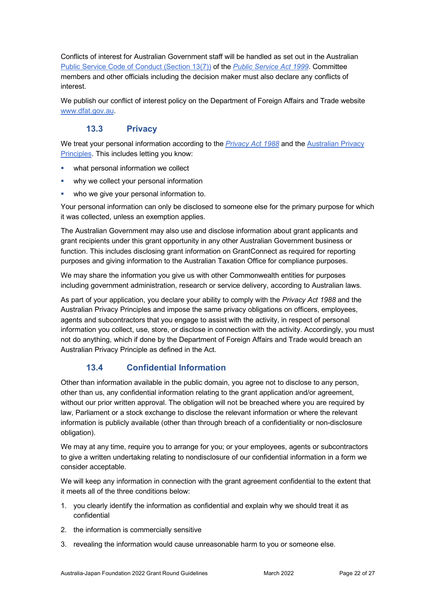Conflicts of interest for Australian Government staff will be handled as set out in the Australian [Public Service Code of Conduct \(Section 13\(7\)\)](http://www8.austlii.edu.au/cgi-bin/viewdoc/au/legis/cth/consol_act/psa1999152/s13.html) of the *[Public Service Act 1999](https://www.legislation.gov.au/Series/C2004A00538)*. Committee members and other officials including the decision maker must also declare any conflicts of interest.

We publish our conflict of interest policy on the Department of Foreign Affairs and Trade website [www.dfat.gov.au.](http://www.dfat.gov.au/)

### **13.3 Privacy**

We treat your personal information according to the *[Privacy Act 1988](https://www.legislation.gov.au/Details/C2014C00076)* and the [Australian Privacy](https://www.oaic.gov.au/privacy-law/privacy-act/australian-privacy-principles)  [Principles.](https://www.oaic.gov.au/privacy-law/privacy-act/australian-privacy-principles) This includes letting you know:

- what personal information we collect
- why we collect your personal information
- who we give your personal information to.

Your personal information can only be disclosed to someone else for the primary purpose for which it was collected, unless an exemption applies.

The Australian Government may also use and disclose information about grant applicants and grant recipients under this grant opportunity in any other Australian Government business or function. This includes disclosing grant information on GrantConnect as required for reporting purposes and giving information to the Australian Taxation Office for compliance purposes.

We may share the information you give us with other Commonwealth entities for purposes including government administration, research or service delivery, according to Australian laws.

As part of your application, you declare your ability to comply with the *Privacy Act 1988* and the Australian Privacy Principles and impose the same privacy obligations on officers, employees, agents and subcontractors that you engage to assist with the activity, in respect of personal information you collect, use, store, or disclose in connection with the activity. Accordingly, you must not do anything, which if done by the Department of Foreign Affairs and Trade would breach an Australian Privacy Principle as defined in the Act.

## **13.4 Confidential Information**

Other than information available in the public domain, you agree not to disclose to any person, other than us, any confidential information relating to the grant application and/or agreement, without our prior written approval. The obligation will not be breached where you are required by law, Parliament or a stock exchange to disclose the relevant information or where the relevant information is publicly available (other than through breach of a confidentiality or non-disclosure obligation).

We may at any time, require you to arrange for you; or your employees, agents or subcontractors to give a written undertaking relating to nondisclosure of our confidential information in a form we consider acceptable.

We will keep any information in connection with the grant agreement confidential to the extent that it meets all of the three conditions below:

- 1. you clearly identify the information as confidential and explain why we should treat it as confidential
- 2. the information is commercially sensitive
- 3. revealing the information would cause unreasonable harm to you or someone else.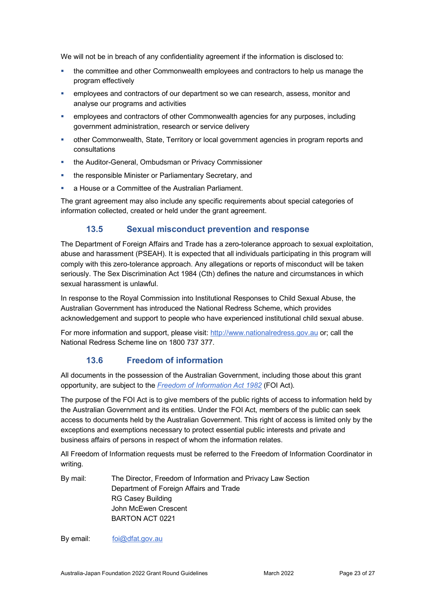We will not be in breach of any confidentiality agreement if the information is disclosed to:

- **the committee and other Commonwealth employees and contractors to help us manage the** program effectively
- employees and contractors of our department so we can research, assess, monitor and analyse our programs and activities
- employees and contractors of other Commonwealth agencies for any purposes, including government administration, research or service delivery
- other Commonwealth, State, Territory or local government agencies in program reports and consultations
- the Auditor-General, Ombudsman or Privacy Commissioner
- **the responsible Minister or Parliamentary Secretary, and**
- a House or a Committee of the Australian Parliament.

The grant agreement may also include any specific requirements about special categories of information collected, created or held under the grant agreement.

### **13.5 Sexual misconduct prevention and response**

The Department of Foreign Affairs and Trade has a zero-tolerance approach to sexual exploitation, abuse and harassment (PSEAH). It is expected that all individuals participating in this program will comply with this zero-tolerance approach. Any allegations or reports of misconduct will be taken seriously. The Sex Discrimination Act 1984 (Cth) defines the nature and circumstances in which sexual harassment is unlawful.

In response to the Royal Commission into Institutional Responses to Child Sexual Abuse, the Australian Government has introduced the National Redress Scheme, which provides acknowledgement and support to people who have experienced institutional child sexual abuse.

For more information and support, please visit: [http://www.nationalredress.gov.au](http://www.nationalredress.gov.au/) or; call the National Redress Scheme line on 1800 737 377.

## **13.6 Freedom of information**

All documents in the possession of the Australian Government, including those about this grant opportunity, are subject to the *[Freedom of Information Act 1982](https://www.legislation.gov.au/Series/C2004A02562)* (FOI Act)*.*

The purpose of the FOI Act is to give members of the public rights of access to information held by the Australian Government and its entities. Under the FOI Act, members of the public can seek access to documents held by the Australian Government. This right of access is limited only by the exceptions and exemptions necessary to protect essential public interests and private and business affairs of persons in respect of whom the information relates.

All Freedom of Information requests must be referred to the Freedom of Information Coordinator in writing.

By mail: The Director, Freedom of Information and Privacy Law Section Department of Foreign Affairs and Trade RG Casey Building John McEwen Crescent BARTON ACT 0221

By email: [foi@dfat.gov.au](mailto:foi@dfat.gov.au)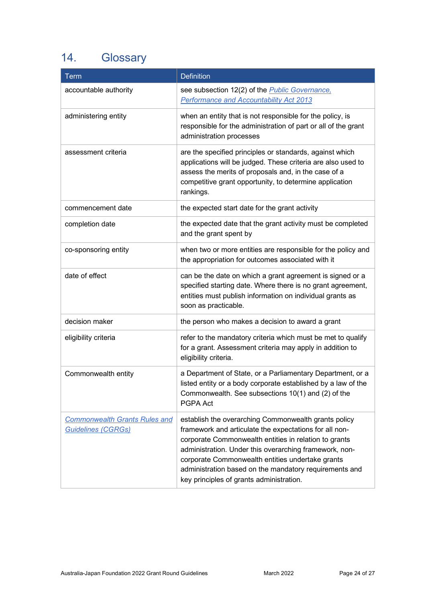# 14. Glossary

| Term                                                              | <b>Definition</b>                                                                                                                                                                                                                                                                                                                                                                           |
|-------------------------------------------------------------------|---------------------------------------------------------------------------------------------------------------------------------------------------------------------------------------------------------------------------------------------------------------------------------------------------------------------------------------------------------------------------------------------|
| accountable authority                                             | see subsection 12(2) of the <i>Public Governance</i> .<br><b>Performance and Accountability Act 2013</b>                                                                                                                                                                                                                                                                                    |
| administering entity                                              | when an entity that is not responsible for the policy, is<br>responsible for the administration of part or all of the grant<br>administration processes                                                                                                                                                                                                                                     |
| assessment criteria                                               | are the specified principles or standards, against which<br>applications will be judged. These criteria are also used to<br>assess the merits of proposals and, in the case of a<br>competitive grant opportunity, to determine application<br>rankings.                                                                                                                                    |
| commencement date                                                 | the expected start date for the grant activity                                                                                                                                                                                                                                                                                                                                              |
| completion date                                                   | the expected date that the grant activity must be completed<br>and the grant spent by                                                                                                                                                                                                                                                                                                       |
| co-sponsoring entity                                              | when two or more entities are responsible for the policy and<br>the appropriation for outcomes associated with it                                                                                                                                                                                                                                                                           |
| date of effect                                                    | can be the date on which a grant agreement is signed or a<br>specified starting date. Where there is no grant agreement,<br>entities must publish information on individual grants as<br>soon as practicable.                                                                                                                                                                               |
| decision maker                                                    | the person who makes a decision to award a grant                                                                                                                                                                                                                                                                                                                                            |
| eligibility criteria                                              | refer to the mandatory criteria which must be met to qualify<br>for a grant. Assessment criteria may apply in addition to<br>eligibility criteria.                                                                                                                                                                                                                                          |
| Commonwealth entity                                               | a Department of State, or a Parliamentary Department, or a<br>listed entity or a body corporate established by a law of the<br>Commonwealth. See subsections 10(1) and (2) of the<br>PGPA Act                                                                                                                                                                                               |
| <b>Commonwealth Grants Rules and</b><br><b>Guidelines (CGRGs)</b> | establish the overarching Commonwealth grants policy<br>framework and articulate the expectations for all non-<br>corporate Commonwealth entities in relation to grants<br>administration. Under this overarching framework, non-<br>corporate Commonwealth entities undertake grants<br>administration based on the mandatory requirements and<br>key principles of grants administration. |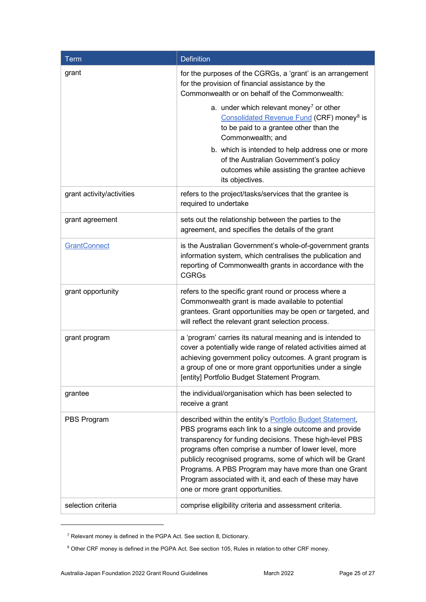| <b>Term</b>               | <b>Definition</b>                                                                                                                                                                                                                                                                                                                                                                                                                                           |
|---------------------------|-------------------------------------------------------------------------------------------------------------------------------------------------------------------------------------------------------------------------------------------------------------------------------------------------------------------------------------------------------------------------------------------------------------------------------------------------------------|
| grant                     | for the purposes of the CGRGs, a 'grant' is an arrangement<br>for the provision of financial assistance by the<br>Commonwealth or on behalf of the Commonwealth:                                                                                                                                                                                                                                                                                            |
|                           | a. under which relevant money <sup>7</sup> or other<br>Consolidated Revenue Fund (CRF) money <sup>8</sup> is<br>to be paid to a grantee other than the<br>Commonwealth; and                                                                                                                                                                                                                                                                                 |
|                           | b. which is intended to help address one or more<br>of the Australian Government's policy<br>outcomes while assisting the grantee achieve<br>its objectives.                                                                                                                                                                                                                                                                                                |
| grant activity/activities | refers to the project/tasks/services that the grantee is<br>required to undertake                                                                                                                                                                                                                                                                                                                                                                           |
| grant agreement           | sets out the relationship between the parties to the<br>agreement, and specifies the details of the grant                                                                                                                                                                                                                                                                                                                                                   |
| <b>GrantConnect</b>       | is the Australian Government's whole-of-government grants<br>information system, which centralises the publication and<br>reporting of Commonwealth grants in accordance with the<br><b>CGRGs</b>                                                                                                                                                                                                                                                           |
| grant opportunity         | refers to the specific grant round or process where a<br>Commonwealth grant is made available to potential<br>grantees. Grant opportunities may be open or targeted, and<br>will reflect the relevant grant selection process.                                                                                                                                                                                                                              |
| grant program             | a 'program' carries its natural meaning and is intended to<br>cover a potentially wide range of related activities aimed at<br>achieving government policy outcomes. A grant program is<br>a group of one or more grant opportunities under a single<br>[entity] Portfolio Budget Statement Program.                                                                                                                                                        |
| grantee                   | the individual/organisation which has been selected to<br>receive a grant                                                                                                                                                                                                                                                                                                                                                                                   |
| PBS Program               | described within the entity's Portfolio Budget Statement,<br>PBS programs each link to a single outcome and provide<br>transparency for funding decisions. These high-level PBS<br>programs often comprise a number of lower level, more<br>publicly recognised programs, some of which will be Grant<br>Programs. A PBS Program may have more than one Grant<br>Program associated with it, and each of these may have<br>one or more grant opportunities. |
| selection criteria        | comprise eligibility criteria and assessment criteria.                                                                                                                                                                                                                                                                                                                                                                                                      |

<span id="page-24-0"></span><sup>7</sup> Relevant money is defined in the PGPA Act. See section 8, Dictionary.

<span id="page-24-1"></span><sup>&</sup>lt;sup>8</sup> Other CRF money is defined in the PGPA Act. See section 105, Rules in relation to other CRF money.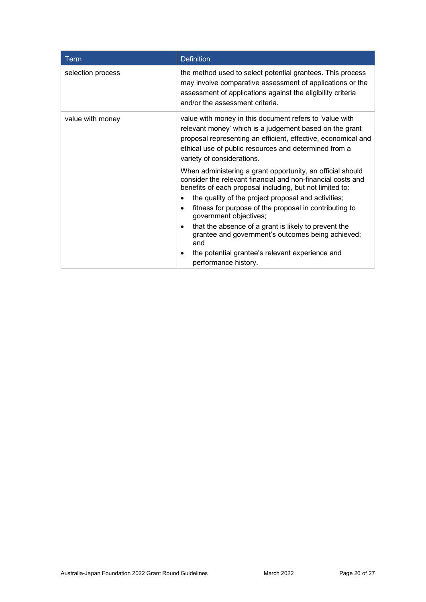| Term              | <b>Definition</b>                                                                                                                                                                                                                                                                                                                                                                                                                                                                                                                                              |
|-------------------|----------------------------------------------------------------------------------------------------------------------------------------------------------------------------------------------------------------------------------------------------------------------------------------------------------------------------------------------------------------------------------------------------------------------------------------------------------------------------------------------------------------------------------------------------------------|
| selection process | the method used to select potential grantees. This process<br>may involve comparative assessment of applications or the<br>assessment of applications against the eligibility criteria<br>and/or the assessment criteria.                                                                                                                                                                                                                                                                                                                                      |
| value with money  | value with money in this document refers to 'value with<br>relevant money' which is a judgement based on the grant<br>proposal representing an efficient, effective, economical and<br>ethical use of public resources and determined from a<br>variety of considerations.                                                                                                                                                                                                                                                                                     |
|                   | When administering a grant opportunity, an official should<br>consider the relevant financial and non-financial costs and<br>benefits of each proposal including, but not limited to:<br>the quality of the project proposal and activities;<br>fitness for purpose of the proposal in contributing to<br>$\bullet$<br>government objectives;<br>that the absence of a grant is likely to prevent the<br>$\bullet$<br>grantee and government's outcomes being achieved;<br>and<br>the potential grantee's relevant experience and<br>٠<br>performance history. |